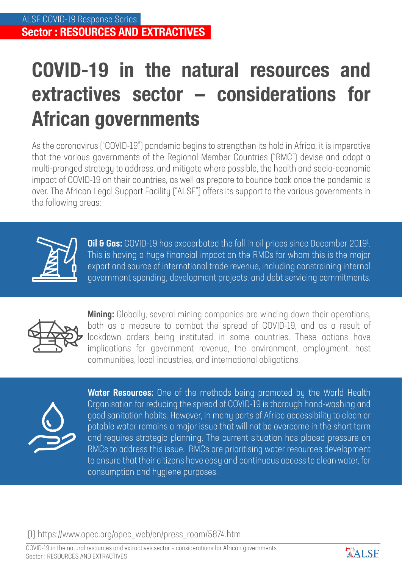## **COVID-19 in the natural resources and extractives sector – considerations for African governments**

As the coronavirus ("COVID-19") pandemic begins to strengthen its hold in Africa, it is imperative that the various governments of the Regional Member Countries ("RMC") devise and adopt a multi-pronged strategy to address, and mitigate where possible, the health and socio-economic impact of COVID-19 on their countries, as well as prepare to bounce back once the pandemic is over. The African Legal Support Facility ("ALSF") offers its support to the various governments in the following areas:



**Oil & Gas:** COVID-19 has exacerbated the fall in oil prices since December 2019<sup>1</sup>. This is having a huge financial impact on the RMCs for whom this is the major export and source of international trade revenue, including constraining internal government spending, development projects, and debt servicing commitments.



**Mining:** Globally, several mining companies are winding down their operations, both as a measure to combat the spread of COVID-19, and as a result of lockdown orders being instituted in some countries. These actions have implications for government revenue, the environment, employment, host communities, local industries, and international obligations.



Water Resources: One of the methods being promoted by the World Health Organisation for reducing the spread of COVID-19 is thorough hand-washing and good sanitation habits. However, in many parts of Africa accessibility to clean or potable water remains a major issue that will not be overcome in the short term and requires strategic planning. The current situation has placed pressure on RMCs to address this issue. RMCs are prioritising water resources development to ensure that their citizens have easy and continuous access to clean water, for consumption and hygiene purposes.

## (1) https://www.opec.org/opec\_web/en/press\_room/5874.htm